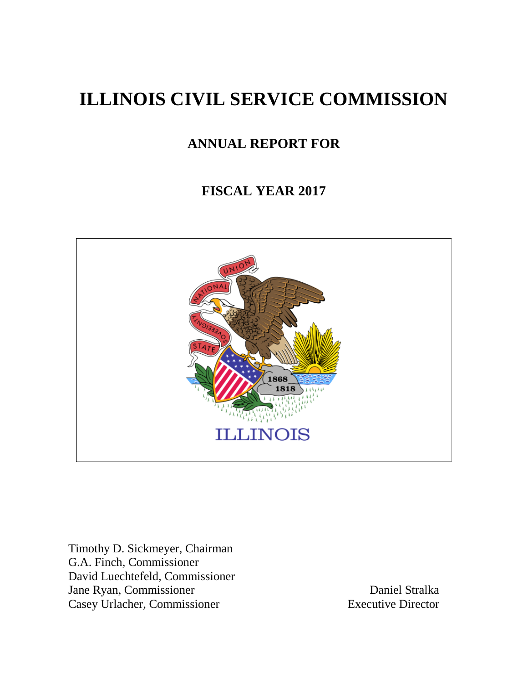# **ILLINOIS CIVIL SERVICE COMMISSION**

# **ANNUAL REPORT FOR**

# **FISCAL YEAR 2017**



Timothy D. Sickmeyer, Chairman G.A. Finch, Commissioner David Luechtefeld, Commissioner Jane Ryan, Commissioner Daniel Stralka Casey Urlacher, Commissioner Executive Director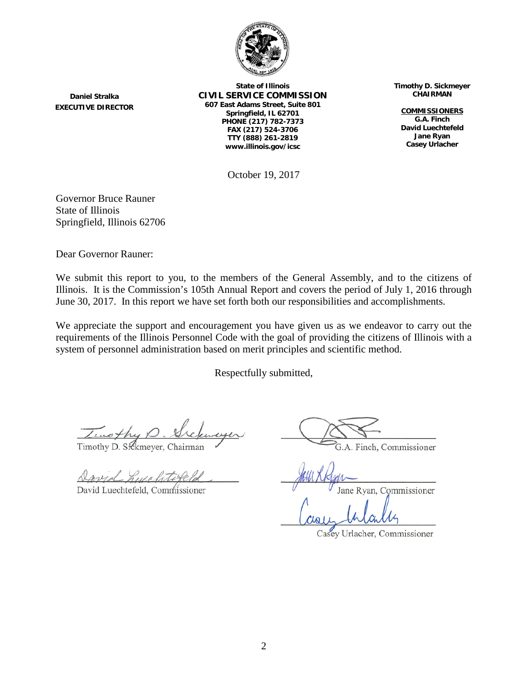

**State of Illinois CIVIL SERVICE COMMISSION 607 East Adams Street, Suite 801 Springfield, IL 62701 PHONE (217) 782-7373 FAX (217) 524-3706 TTY (888) 261-2819 www.illinois.gov/icsc**

**Timothy D. Sickmeyer CHAIRMAN**

**COMMISSIONERS G.A. Finch David Luechtefeld Jane Ryan Casey Urlacher**

October 19, 2017

Governor Bruce Rauner State of Illinois Springfield, Illinois 62706

**Daniel Stralka EXECUTIVE DIRECTOR**

Dear Governor Rauner:

We submit this report to you, to the members of the General Assembly, and to the citizens of Illinois. It is the Commission's 105th Annual Report and covers the period of July 1, 2016 through June 30, 2017. In this report we have set forth both our responsibilities and accomplishments.

We appreciate the support and encouragement you have given us as we endeavor to carry out the requirements of the Illinois Personnel Code with the goal of providing the citizens of Illinois with a system of personnel administration based on merit principles and scientific method.

Respectfully submitted,

Twothy

Timothy D. Sickmeyer, Chairman

David Luechtefeld, Commissioner

G.A. Finch, Commissioner

ane Ryan, Commissioner

Casey Urlacher, Commissioner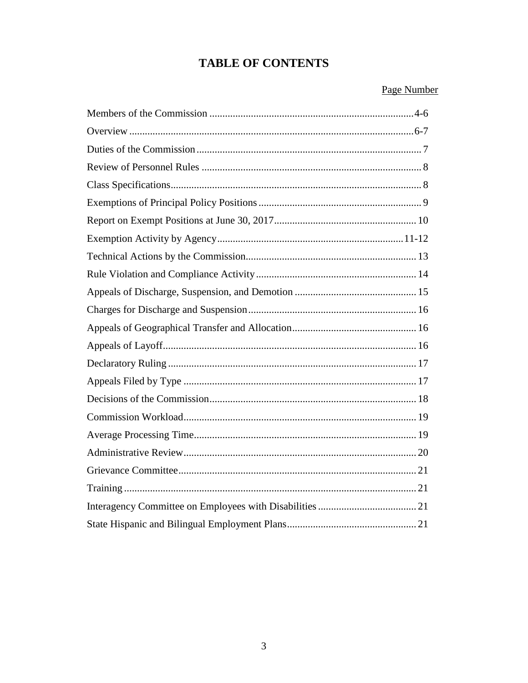# **TABLE OF CONTENTS**

# Page Number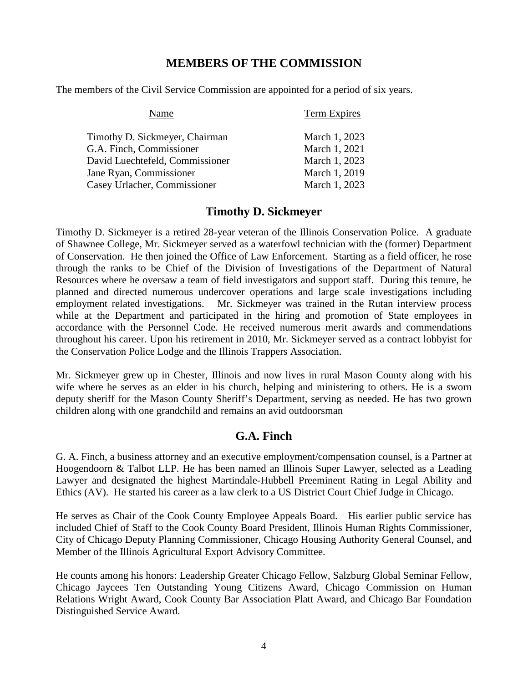### **MEMBERS OF THE COMMISSION**

The members of the Civil Service Commission are appointed for a period of six years.

| Name                            | <b>Term Expires</b> |
|---------------------------------|---------------------|
| Timothy D. Sickmeyer, Chairman  | March 1, 2023       |
| G.A. Finch, Commissioner        | March 1, 2021       |
| David Luechtefeld, Commissioner | March 1, 2023       |
| Jane Ryan, Commissioner         | March 1, 2019       |
| Casey Urlacher, Commissioner    | March 1, 2023       |

### **Timothy D. Sickmeyer**

Timothy D. Sickmeyer is a retired 28-year veteran of the Illinois Conservation Police. A graduate of Shawnee College, Mr. Sickmeyer served as a waterfowl technician with the (former) Department of Conservation. He then joined the Office of Law Enforcement. Starting as a field officer, he rose through the ranks to be Chief of the Division of Investigations of the Department of Natural Resources where he oversaw a team of field investigators and support staff. During this tenure, he planned and directed numerous undercover operations and large scale investigations including employment related investigations. Mr. Sickmeyer was trained in the Rutan interview process while at the Department and participated in the hiring and promotion of State employees in accordance with the Personnel Code. He received numerous merit awards and commendations throughout his career. Upon his retirement in 2010, Mr. Sickmeyer served as a contract lobbyist for the Conservation Police Lodge and the Illinois Trappers Association.

Mr. Sickmeyer grew up in Chester, Illinois and now lives in rural Mason County along with his wife where he serves as an elder in his church, helping and ministering to others. He is a sworn deputy sheriff for the Mason County Sheriff's Department, serving as needed. He has two grown children along with one grandchild and remains an avid outdoorsman

# **G.A. Finch**

G. A. Finch, a business attorney and an executive employment/compensation counsel, is a Partner at Hoogendoorn & Talbot LLP. He has been named an Illinois Super Lawyer, selected as a Leading Lawyer and designated the highest Martindale-Hubbell Preeminent Rating in Legal Ability and Ethics (AV). He started his career as a law clerk to a US District Court Chief Judge in Chicago.

He serves as Chair of the Cook County Employee Appeals Board. His earlier public service has included Chief of Staff to the Cook County Board President, Illinois Human Rights Commissioner, City of Chicago Deputy Planning Commissioner, Chicago Housing Authority General Counsel, and Member of the Illinois Agricultural Export Advisory Committee.

He counts among his honors: Leadership Greater Chicago Fellow, Salzburg Global Seminar Fellow, Chicago Jaycees Ten Outstanding Young Citizens Award, Chicago Commission on Human Relations Wright Award, Cook County Bar Association Platt Award, and Chicago Bar Foundation Distinguished Service Award.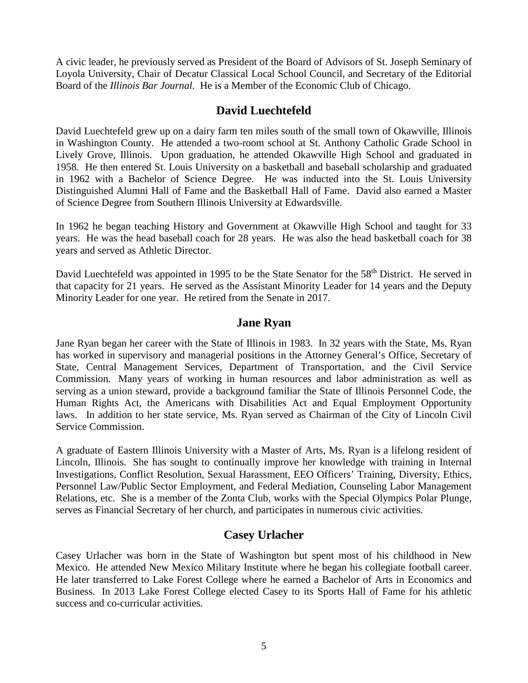A civic leader, he previously served as President of the Board of Advisors of St. Joseph Seminary of Loyola University, Chair of Decatur Classical Local School Council, and Secretary of the Editorial Board of the *Illinois Bar Journal.* He is a Member of the Economic Club of Chicago.

# **David Luechtefeld**

David Luechtefeld grew up on a dairy farm ten miles south of the small town of Okawville, Illinois in Washington County. He attended a two-room school at St. Anthony Catholic Grade School in Lively Grove, Illinois. Upon graduation, he attended Okawville High School and graduated in 1958. He then entered St. Louis University on a basketball and baseball scholarship and graduated in 1962 with a Bachelor of Science Degree. He was inducted into the St. Louis University Distinguished Alumni Hall of Fame and the Basketball Hall of Fame. David also earned a Master of Science Degree from Southern Illinois University at Edwardsville.

In 1962 he began teaching History and Government at Okawville High School and taught for 33 years. He was the head baseball coach for 28 years. He was also the head basketball coach for 38 years and served as Athletic Director.

David Luechtefeld was appointed in 1995 to be the State Senator for the 58<sup>th</sup> District. He served in that capacity for 21 years. He served as the Assistant Minority Leader for 14 years and the Deputy Minority Leader for one year. He retired from the Senate in 2017.

### **Jane Ryan**

Jane Ryan began her career with the State of Illinois in 1983. In 32 years with the State, Ms. Ryan has worked in supervisory and managerial positions in the Attorney General's Office, Secretary of State, Central Management Services, Department of Transportation, and the Civil Service Commission. Many years of working in human resources and labor administration as well as serving as a union steward, provide a background familiar the State of Illinois Personnel Code, the Human Rights Act, the Americans with Disabilities Act and Equal Employment Opportunity laws. In addition to her state service, Ms. Ryan served as Chairman of the City of Lincoln Civil Service Commission.

A graduate of Eastern Illinois University with a Master of Arts, Ms. Ryan is a lifelong resident of Lincoln, Illinois. She has sought to continually improve her knowledge with training in Internal Investigations, Conflict Resolution, Sexual Harassment, EEO Officers' Training, Diversity, Ethics, Personnel Law/Public Sector Employment, and Federal Mediation, Counseling Labor Management Relations, etc. She is a member of the Zonta Club, works with the Special Olympics Polar Plunge, serves as Financial Secretary of her church, and participates in numerous civic activities.

# **Casey Urlacher**

Casey Urlacher was born in the State of Washington but spent most of his childhood in New Mexico. He attended New Mexico Military Institute where he began his collegiate football career. He later transferred to Lake Forest College where he earned a Bachelor of Arts in Economics and Business. In 2013 Lake Forest College elected Casey to its Sports Hall of Fame for his athletic success and co-curricular activities.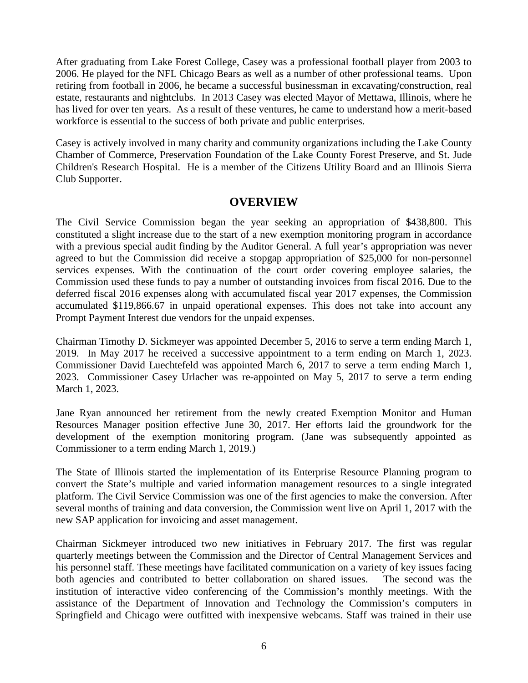After graduating from Lake Forest College, Casey was a professional football player from 2003 to 2006. He played for the NFL Chicago Bears as well as a number of other professional teams. Upon retiring from football in 2006, he became a successful businessman in excavating/construction, real estate, restaurants and nightclubs. In 2013 Casey was elected Mayor of Mettawa, Illinois, where he has lived for over ten years. As a result of these ventures, he came to understand how a merit-based workforce is essential to the success of both private and public enterprises.

Casey is actively involved in many charity and community organizations including the Lake County Chamber of Commerce, Preservation Foundation of the Lake County Forest Preserve, and St. Jude Children's Research Hospital. He is a member of the Citizens Utility Board and an Illinois Sierra Club Supporter.

#### **OVERVIEW**

The Civil Service Commission began the year seeking an appropriation of \$438,800. This constituted a slight increase due to the start of a new exemption monitoring program in accordance with a previous special audit finding by the Auditor General. A full year's appropriation was never agreed to but the Commission did receive a stopgap appropriation of \$25,000 for non-personnel services expenses. With the continuation of the court order covering employee salaries, the Commission used these funds to pay a number of outstanding invoices from fiscal 2016. Due to the deferred fiscal 2016 expenses along with accumulated fiscal year 2017 expenses, the Commission accumulated \$119,866.67 in unpaid operational expenses. This does not take into account any Prompt Payment Interest due vendors for the unpaid expenses.

Chairman Timothy D. Sickmeyer was appointed December 5, 2016 to serve a term ending March 1, 2019. In May 2017 he received a successive appointment to a term ending on March 1, 2023. Commissioner David Luechtefeld was appointed March 6, 2017 to serve a term ending March 1, 2023. Commissioner Casey Urlacher was re-appointed on May 5, 2017 to serve a term ending March 1, 2023.

Jane Ryan announced her retirement from the newly created Exemption Monitor and Human Resources Manager position effective June 30, 2017. Her efforts laid the groundwork for the development of the exemption monitoring program. (Jane was subsequently appointed as Commissioner to a term ending March 1, 2019.)

The State of Illinois started the implementation of its Enterprise Resource Planning program to convert the State's multiple and varied information management resources to a single integrated platform. The Civil Service Commission was one of the first agencies to make the conversion. After several months of training and data conversion, the Commission went live on April 1, 2017 with the new SAP application for invoicing and asset management.

Chairman Sickmeyer introduced two new initiatives in February 2017. The first was regular quarterly meetings between the Commission and the Director of Central Management Services and his personnel staff. These meetings have facilitated communication on a variety of key issues facing both agencies and contributed to better collaboration on shared issues. The second was the institution of interactive video conferencing of the Commission's monthly meetings. With the assistance of the Department of Innovation and Technology the Commission's computers in Springfield and Chicago were outfitted with inexpensive webcams. Staff was trained in their use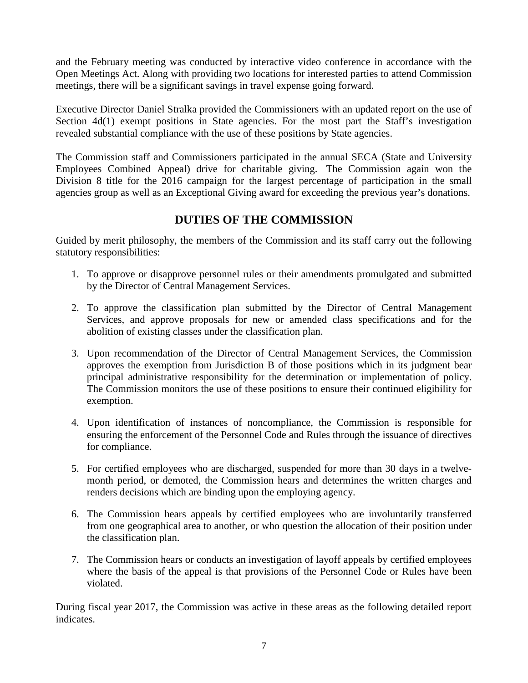and the February meeting was conducted by interactive video conference in accordance with the Open Meetings Act. Along with providing two locations for interested parties to attend Commission meetings, there will be a significant savings in travel expense going forward.

Executive Director Daniel Stralka provided the Commissioners with an updated report on the use of Section 4d(1) exempt positions in State agencies. For the most part the Staff's investigation revealed substantial compliance with the use of these positions by State agencies.

The Commission staff and Commissioners participated in the annual SECA (State and University Employees Combined Appeal) drive for charitable giving. The Commission again won the Division 8 title for the 2016 campaign for the largest percentage of participation in the small agencies group as well as an Exceptional Giving award for exceeding the previous year's donations.

# **DUTIES OF THE COMMISSION**

Guided by merit philosophy, the members of the Commission and its staff carry out the following statutory responsibilities:

- 1. To approve or disapprove personnel rules or their amendments promulgated and submitted by the Director of Central Management Services.
- 2. To approve the classification plan submitted by the Director of Central Management Services, and approve proposals for new or amended class specifications and for the abolition of existing classes under the classification plan.
- 3. Upon recommendation of the Director of Central Management Services, the Commission approves the exemption from Jurisdiction B of those positions which in its judgment bear principal administrative responsibility for the determination or implementation of policy. The Commission monitors the use of these positions to ensure their continued eligibility for exemption.
- 4. Upon identification of instances of noncompliance, the Commission is responsible for ensuring the enforcement of the Personnel Code and Rules through the issuance of directives for compliance.
- 5. For certified employees who are discharged, suspended for more than 30 days in a twelvemonth period, or demoted, the Commission hears and determines the written charges and renders decisions which are binding upon the employing agency.
- 6. The Commission hears appeals by certified employees who are involuntarily transferred from one geographical area to another, or who question the allocation of their position under the classification plan.
- 7. The Commission hears or conducts an investigation of layoff appeals by certified employees where the basis of the appeal is that provisions of the Personnel Code or Rules have been violated.

During fiscal year 2017, the Commission was active in these areas as the following detailed report indicates.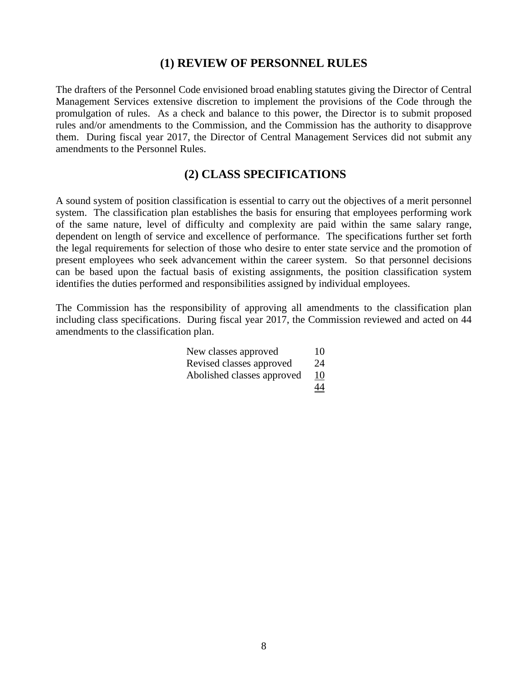### **(1) REVIEW OF PERSONNEL RULES**

The drafters of the Personnel Code envisioned broad enabling statutes giving the Director of Central Management Services extensive discretion to implement the provisions of the Code through the promulgation of rules. As a check and balance to this power, the Director is to submit proposed rules and/or amendments to the Commission, and the Commission has the authority to disapprove them. During fiscal year 2017, the Director of Central Management Services did not submit any amendments to the Personnel Rules.

#### **(2) CLASS SPECIFICATIONS**

A sound system of position classification is essential to carry out the objectives of a merit personnel system. The classification plan establishes the basis for ensuring that employees performing work of the same nature, level of difficulty and complexity are paid within the same salary range, dependent on length of service and excellence of performance. The specifications further set forth the legal requirements for selection of those who desire to enter state service and the promotion of present employees who seek advancement within the career system. So that personnel decisions can be based upon the factual basis of existing assignments, the position classification system identifies the duties performed and responsibilities assigned by individual employees.

The Commission has the responsibility of approving all amendments to the classification plan including class specifications. During fiscal year 2017, the Commission reviewed and acted on 44 amendments to the classification plan.

| New classes approved       | 10        |
|----------------------------|-----------|
| Revised classes approved   | 24        |
| Abolished classes approved | 10        |
|                            | <u>44</u> |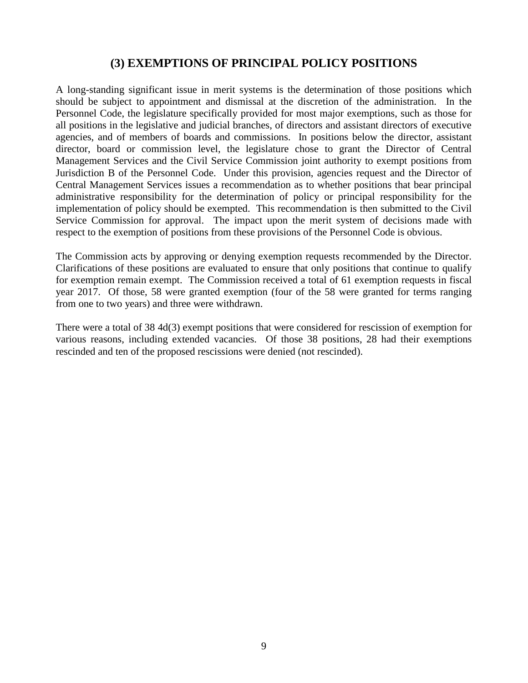### **(3) EXEMPTIONS OF PRINCIPAL POLICY POSITIONS**

A long-standing significant issue in merit systems is the determination of those positions which should be subject to appointment and dismissal at the discretion of the administration. In the Personnel Code, the legislature specifically provided for most major exemptions, such as those for all positions in the legislative and judicial branches, of directors and assistant directors of executive agencies, and of members of boards and commissions. In positions below the director, assistant director, board or commission level, the legislature chose to grant the Director of Central Management Services and the Civil Service Commission joint authority to exempt positions from Jurisdiction B of the Personnel Code. Under this provision, agencies request and the Director of Central Management Services issues a recommendation as to whether positions that bear principal administrative responsibility for the determination of policy or principal responsibility for the implementation of policy should be exempted. This recommendation is then submitted to the Civil Service Commission for approval. The impact upon the merit system of decisions made with respect to the exemption of positions from these provisions of the Personnel Code is obvious.

The Commission acts by approving or denying exemption requests recommended by the Director. Clarifications of these positions are evaluated to ensure that only positions that continue to qualify for exemption remain exempt. The Commission received a total of 61 exemption requests in fiscal year 2017. Of those, 58 were granted exemption (four of the 58 were granted for terms ranging from one to two years) and three were withdrawn.

There were a total of 38 4d(3) exempt positions that were considered for rescission of exemption for various reasons, including extended vacancies. Of those 38 positions, 28 had their exemptions rescinded and ten of the proposed rescissions were denied (not rescinded).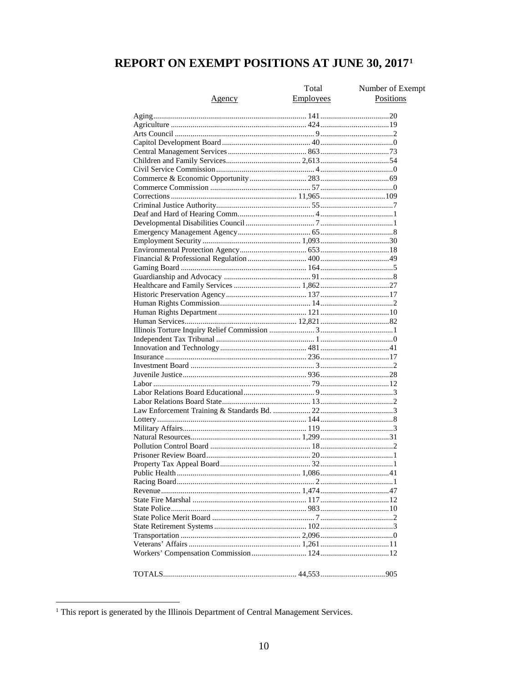# REPORT ON EXEMPT POSITIONS AT JUNE 30, 2017<sup>1</sup>

|        | Total            | Number of Exempt |
|--------|------------------|------------------|
| Agency | <b>Employees</b> | Positions        |
|        |                  |                  |
|        |                  |                  |
|        |                  |                  |
|        |                  |                  |
|        |                  |                  |
|        |                  |                  |
|        |                  |                  |
|        |                  |                  |
|        |                  |                  |
|        |                  |                  |
|        |                  |                  |
|        |                  |                  |
|        |                  |                  |
|        |                  |                  |
|        |                  |                  |
|        |                  |                  |
|        |                  |                  |
|        |                  |                  |
|        |                  |                  |
|        |                  |                  |
|        |                  |                  |
|        |                  |                  |
|        |                  |                  |
|        |                  |                  |
|        |                  |                  |
|        |                  |                  |
|        |                  |                  |
|        |                  |                  |
|        |                  |                  |
|        |                  |                  |
|        |                  |                  |
|        |                  |                  |
|        |                  |                  |
|        |                  |                  |
|        |                  |                  |
|        |                  |                  |
|        |                  |                  |
|        |                  |                  |
|        |                  |                  |
|        |                  |                  |
|        |                  |                  |
|        |                  |                  |
|        |                  |                  |
|        |                  |                  |
|        |                  |                  |
|        |                  |                  |
|        |                  |                  |
|        |                  |                  |
|        |                  |                  |
|        |                  |                  |
|        |                  |                  |
|        |                  |                  |
|        |                  |                  |
|        |                  |                  |

<span id="page-9-0"></span><sup>&</sup>lt;sup>1</sup> This report is generated by the Illinois Department of Central Management Services.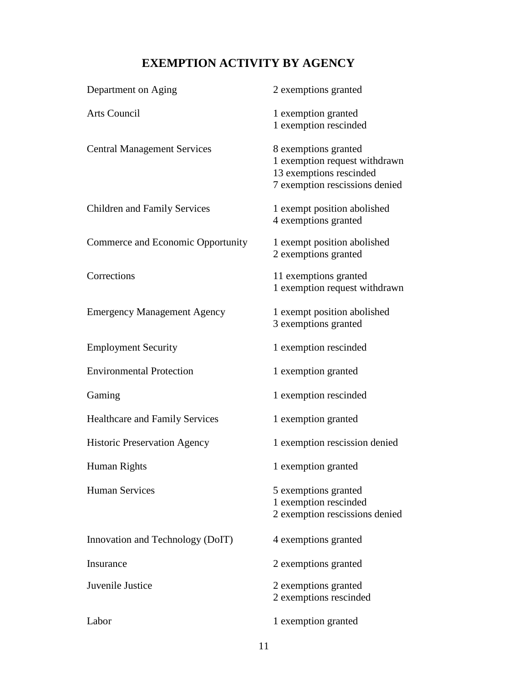# **EXEMPTION ACTIVITY BY AGENCY**

| Department on Aging                   | 2 exemptions granted                                                                                               |
|---------------------------------------|--------------------------------------------------------------------------------------------------------------------|
| Arts Council                          | 1 exemption granted<br>1 exemption rescinded                                                                       |
| <b>Central Management Services</b>    | 8 exemptions granted<br>1 exemption request withdrawn<br>13 exemptions rescinded<br>7 exemption rescissions denied |
| <b>Children and Family Services</b>   | 1 exempt position abolished<br>4 exemptions granted                                                                |
| Commerce and Economic Opportunity     | 1 exempt position abolished<br>2 exemptions granted                                                                |
| Corrections                           | 11 exemptions granted<br>1 exemption request withdrawn                                                             |
| <b>Emergency Management Agency</b>    | 1 exempt position abolished<br>3 exemptions granted                                                                |
| <b>Employment Security</b>            | 1 exemption rescinded                                                                                              |
| <b>Environmental Protection</b>       | 1 exemption granted                                                                                                |
| Gaming                                | 1 exemption rescinded                                                                                              |
| <b>Healthcare and Family Services</b> | 1 exemption granted                                                                                                |
| <b>Historic Preservation Agency</b>   | 1 exemption rescission denied                                                                                      |
| Human Rights                          | 1 exemption granted                                                                                                |
| <b>Human Services</b>                 | 5 exemptions granted<br>1 exemption rescinded<br>2 exemption rescissions denied                                    |
| Innovation and Technology (DoIT)      | 4 exemptions granted                                                                                               |
| Insurance                             | 2 exemptions granted                                                                                               |
| Juvenile Justice                      | 2 exemptions granted<br>2 exemptions rescinded                                                                     |
| Labor                                 | 1 exemption granted                                                                                                |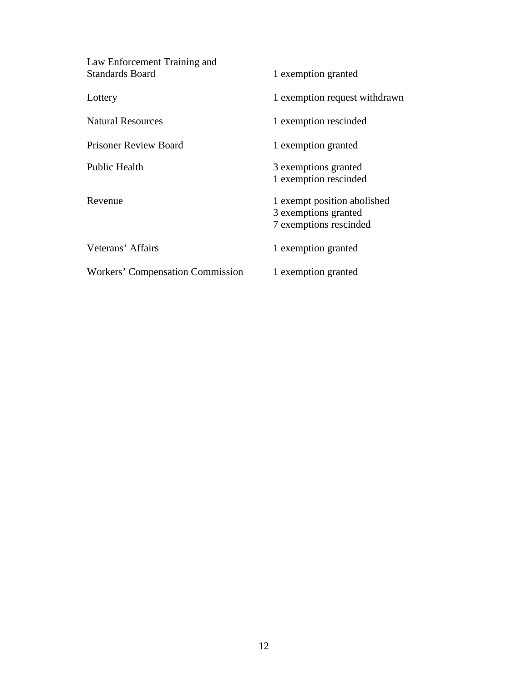| Law Enforcement Training and<br><b>Standards Board</b> | 1 exemption granted                                                           |
|--------------------------------------------------------|-------------------------------------------------------------------------------|
| Lottery                                                | 1 exemption request withdrawn                                                 |
| <b>Natural Resources</b>                               | 1 exemption rescinded                                                         |
| <b>Prisoner Review Board</b>                           | 1 exemption granted                                                           |
| <b>Public Health</b>                                   | 3 exemptions granted<br>1 exemption rescinded                                 |
| Revenue                                                | 1 exempt position abolished<br>3 exemptions granted<br>7 exemptions rescinded |
| Veterans' Affairs                                      | 1 exemption granted                                                           |
| Workers' Compensation Commission                       | 1 exemption granted                                                           |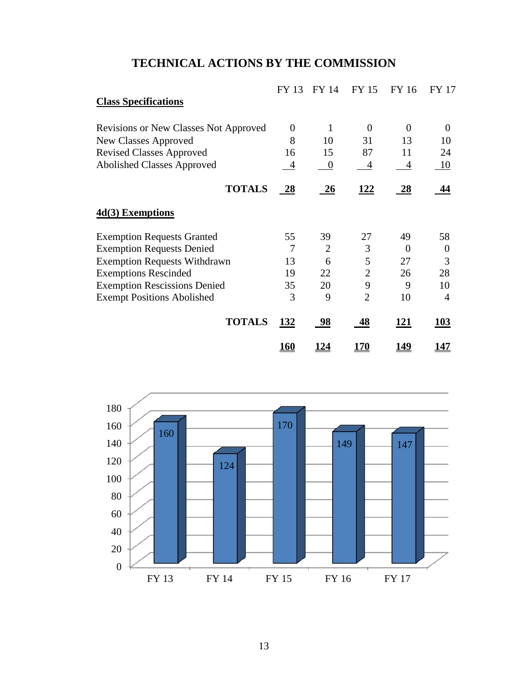# **TECHNICAL ACTIONS BY THE COMMISSION**

|                                              | FY 13          | FY 14            | FY 15          | FY 16          | FY 17          |
|----------------------------------------------|----------------|------------------|----------------|----------------|----------------|
| <b>Class Specifications</b>                  |                |                  |                |                |                |
| <b>Revisions or New Classes Not Approved</b> | $\theta$       | 1                | $\theta$       | $\overline{0}$ | $\Omega$       |
| <b>New Classes Approved</b>                  | 8              | 10               | 31             | 13             | 10             |
| <b>Revised Classes Approved</b>              | 16             | 15               | 87             | 11             | 24             |
| <b>Abolished Classes Approved</b>            | $\overline{4}$ | $\boldsymbol{0}$ | $\overline{4}$ | 4              | <u>10</u>      |
| <b>TOTALS</b>                                | $\frac{28}{1}$ | 26               | <u> 122</u>    | <u>28</u>      | 44             |
| $4d(3)$ Exemptions                           |                |                  |                |                |                |
| <b>Exemption Requests Granted</b>            | 55             | 39               | 27             | 49             | 58             |
| <b>Exemption Requests Denied</b>             | 7              | $\overline{2}$   | 3              | $\Omega$       | $\Omega$       |
| <b>Exemption Requests Withdrawn</b>          | 13             | 6                | 5              | 27             | 3              |
| <b>Exemptions Rescinded</b>                  | 19             | 22               | $\overline{2}$ | 26             | 28             |
| <b>Exemption Rescissions Denied</b>          | 35             | 20               | 9              | 9              | 10             |
| <b>Exempt Positions Abolished</b>            | 3              | 9                | $\overline{2}$ | 10             | $\overline{A}$ |
| <b>TOTALS</b>                                | 132            | 98               | 48             | 121            | 103            |
|                                              | <u> 160</u>    | <u>124</u>       | <u>170</u>     | <u> 149</u>    | <u> 147</u>    |

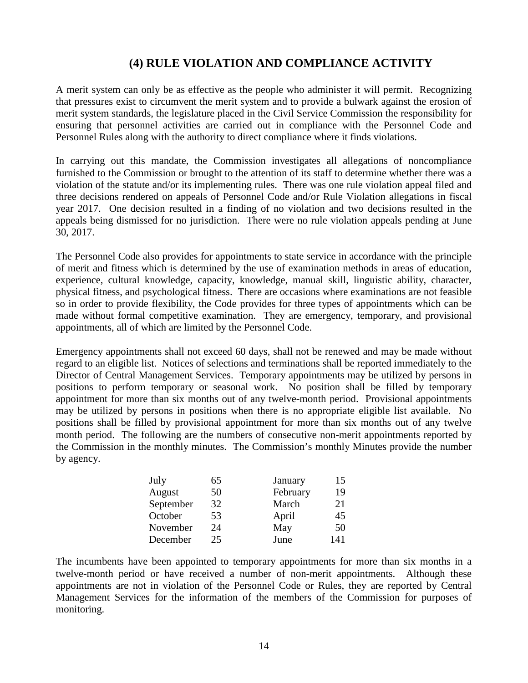# **(4) RULE VIOLATION AND COMPLIANCE ACTIVITY**

A merit system can only be as effective as the people who administer it will permit. Recognizing that pressures exist to circumvent the merit system and to provide a bulwark against the erosion of merit system standards, the legislature placed in the Civil Service Commission the responsibility for ensuring that personnel activities are carried out in compliance with the Personnel Code and Personnel Rules along with the authority to direct compliance where it finds violations.

In carrying out this mandate, the Commission investigates all allegations of noncompliance furnished to the Commission or brought to the attention of its staff to determine whether there was a violation of the statute and/or its implementing rules. There was one rule violation appeal filed and three decisions rendered on appeals of Personnel Code and/or Rule Violation allegations in fiscal year 2017. One decision resulted in a finding of no violation and two decisions resulted in the appeals being dismissed for no jurisdiction. There were no rule violation appeals pending at June 30, 2017.

The Personnel Code also provides for appointments to state service in accordance with the principle of merit and fitness which is determined by the use of examination methods in areas of education, experience, cultural knowledge, capacity, knowledge, manual skill, linguistic ability, character, physical fitness, and psychological fitness. There are occasions where examinations are not feasible so in order to provide flexibility, the Code provides for three types of appointments which can be made without formal competitive examination. They are emergency, temporary, and provisional appointments, all of which are limited by the Personnel Code.

Emergency appointments shall not exceed 60 days, shall not be renewed and may be made without regard to an eligible list. Notices of selections and terminations shall be reported immediately to the Director of Central Management Services. Temporary appointments may be utilized by persons in positions to perform temporary or seasonal work. No position shall be filled by temporary appointment for more than six months out of any twelve-month period. Provisional appointments may be utilized by persons in positions when there is no appropriate eligible list available. No positions shall be filled by provisional appointment for more than six months out of any twelve month period. The following are the numbers of consecutive non-merit appointments reported by the Commission in the monthly minutes. The Commission's monthly Minutes provide the number by agency.

| July      | 65 | January  | 15  |
|-----------|----|----------|-----|
| August    | 50 | February | 19  |
| September | 32 | March    | 21  |
| October   | 53 | April    | 45  |
| November  | 24 | May      | 50  |
| December  | 25 | June     | 141 |

The incumbents have been appointed to temporary appointments for more than six months in a twelve-month period or have received a number of non-merit appointments. Although these appointments are not in violation of the Personnel Code or Rules, they are reported by Central Management Services for the information of the members of the Commission for purposes of monitoring.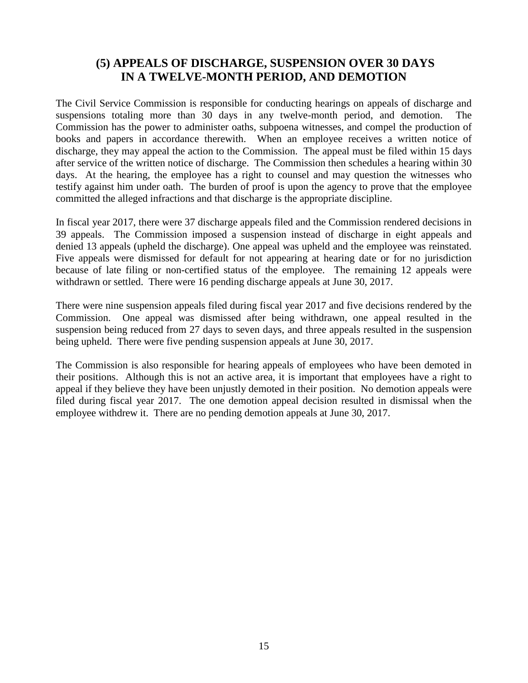# **(5) APPEALS OF DISCHARGE, SUSPENSION OVER 30 DAYS IN A TWELVE-MONTH PERIOD, AND DEMOTION**

The Civil Service Commission is responsible for conducting hearings on appeals of discharge and suspensions totaling more than 30 days in any twelve-month period, and demotion. The Commission has the power to administer oaths, subpoena witnesses, and compel the production of books and papers in accordance therewith. When an employee receives a written notice of discharge, they may appeal the action to the Commission. The appeal must be filed within 15 days after service of the written notice of discharge. The Commission then schedules a hearing within 30 days. At the hearing, the employee has a right to counsel and may question the witnesses who testify against him under oath. The burden of proof is upon the agency to prove that the employee committed the alleged infractions and that discharge is the appropriate discipline.

In fiscal year 2017, there were 37 discharge appeals filed and the Commission rendered decisions in 39 appeals. The Commission imposed a suspension instead of discharge in eight appeals and denied 13 appeals (upheld the discharge). One appeal was upheld and the employee was reinstated. Five appeals were dismissed for default for not appearing at hearing date or for no jurisdiction because of late filing or non-certified status of the employee. The remaining 12 appeals were withdrawn or settled. There were 16 pending discharge appeals at June 30, 2017.

There were nine suspension appeals filed during fiscal year 2017 and five decisions rendered by the Commission. One appeal was dismissed after being withdrawn, one appeal resulted in the suspension being reduced from 27 days to seven days, and three appeals resulted in the suspension being upheld. There were five pending suspension appeals at June 30, 2017.

The Commission is also responsible for hearing appeals of employees who have been demoted in their positions. Although this is not an active area, it is important that employees have a right to appeal if they believe they have been unjustly demoted in their position. No demotion appeals were filed during fiscal year 2017. The one demotion appeal decision resulted in dismissal when the employee withdrew it. There are no pending demotion appeals at June 30, 2017.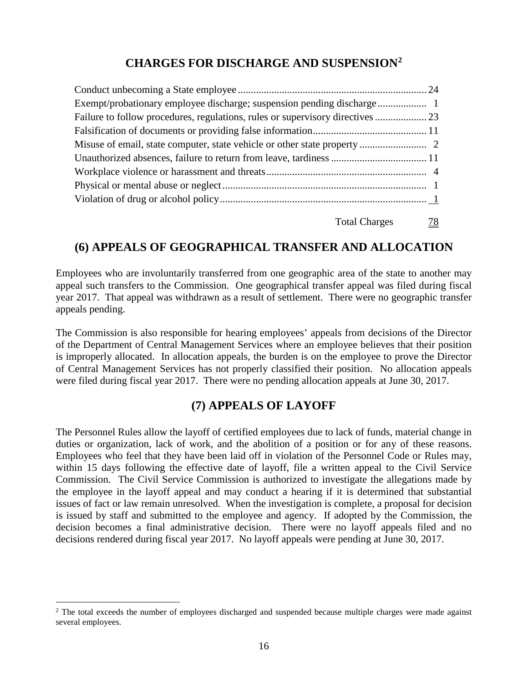# **CHARGES FOR DISCHARGE AND SUSPENSION[2](#page-15-0)**

Total Charges 78

# **(6) APPEALS OF GEOGRAPHICAL TRANSFER AND ALLOCATION**

Employees who are involuntarily transferred from one geographic area of the state to another may appeal such transfers to the Commission. One geographical transfer appeal was filed during fiscal year 2017. That appeal was withdrawn as a result of settlement. There were no geographic transfer appeals pending.

The Commission is also responsible for hearing employees' appeals from decisions of the Director of the Department of Central Management Services where an employee believes that their position is improperly allocated. In allocation appeals, the burden is on the employee to prove the Director of Central Management Services has not properly classified their position. No allocation appeals were filed during fiscal year 2017. There were no pending allocation appeals at June 30, 2017.

### **(7) APPEALS OF LAYOFF**

The Personnel Rules allow the layoff of certified employees due to lack of funds, material change in duties or organization, lack of work, and the abolition of a position or for any of these reasons. Employees who feel that they have been laid off in violation of the Personnel Code or Rules may, within 15 days following the effective date of layoff, file a written appeal to the Civil Service Commission. The Civil Service Commission is authorized to investigate the allegations made by the employee in the layoff appeal and may conduct a hearing if it is determined that substantial issues of fact or law remain unresolved. When the investigation is complete, a proposal for decision is issued by staff and submitted to the employee and agency. If adopted by the Commission, the decision becomes a final administrative decision. There were no layoff appeals filed and no decisions rendered during fiscal year 2017. No layoff appeals were pending at June 30, 2017.

<span id="page-15-0"></span><sup>&</sup>lt;sup>2</sup> The total exceeds the number of employees discharged and suspended because multiple charges were made against several employees.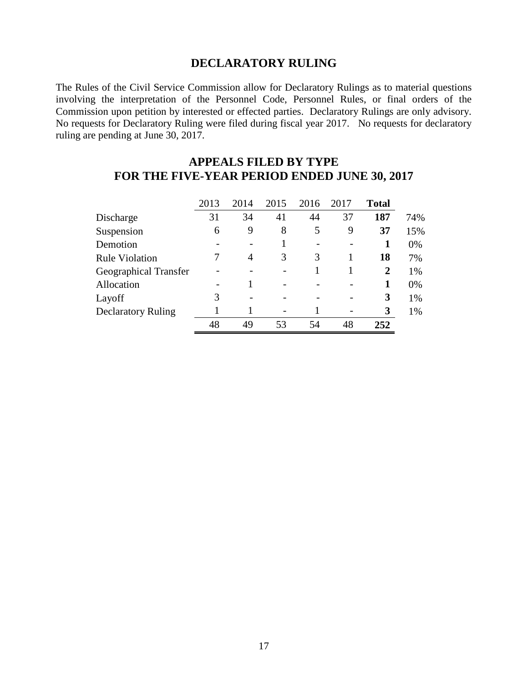### **DECLARATORY RULING**

The Rules of the Civil Service Commission allow for Declaratory Rulings as to material questions involving the interpretation of the Personnel Code, Personnel Rules, or final orders of the Commission upon petition by interested or effected parties. Declaratory Rulings are only advisory. No requests for Declaratory Ruling were filed during fiscal year 2017. No requests for declaratory ruling are pending at June 30, 2017.

### **APPEALS FILED BY TYPE FOR THE FIVE-YEAR PERIOD ENDED JUNE 30, 2017**

|                           | 2013 | 2014 | 2015 | 2016                     | 2017 | <b>Total</b>   |     |
|---------------------------|------|------|------|--------------------------|------|----------------|-----|
| Discharge                 | 31   | 34   | 41   | 44                       | 37   | 187            | 74% |
| Suspension                | 6    | 9    | 8    | 5                        | 9    | 37             | 15% |
| Demotion                  |      |      |      | $\overline{\phantom{0}}$ |      | 1              | 0%  |
| <b>Rule Violation</b>     |      | 4    | 3    | 3                        |      | 18             | 7%  |
| Geographical Transfer     |      |      |      |                          |      | $\overline{2}$ | 1%  |
| Allocation                |      |      |      |                          |      | 1              | 0%  |
| Layoff                    | 3    |      |      |                          |      | 3              | 1%  |
| <b>Declaratory Ruling</b> |      |      |      |                          |      | 3              | 1%  |
|                           | 48   | 49   | 53   | 54                       | 48   | 252            |     |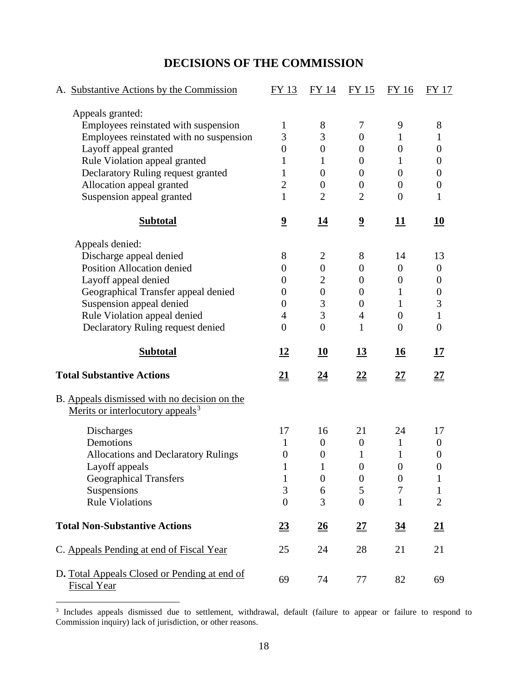# **DECISIONS OF THE COMMISSION**

| A. Substantive Actions by the Commission                                                     | FY 13                        | FY 14                        | FY 15                   | FY 16                        | <b>FY 17</b>                 |
|----------------------------------------------------------------------------------------------|------------------------------|------------------------------|-------------------------|------------------------------|------------------------------|
| Appeals granted:                                                                             |                              |                              |                         |                              |                              |
| Employees reinstated with suspension                                                         | $\mathbf 1$                  | 8                            | 7                       | 9                            | 8                            |
| Employees reinstated with no suspension                                                      | 3                            | 3                            | $\boldsymbol{0}$        | 1                            | 1                            |
| Layoff appeal granted                                                                        | $\boldsymbol{0}$             | $\boldsymbol{0}$             | $\boldsymbol{0}$        | $\theta$                     | $\overline{0}$               |
| Rule Violation appeal granted                                                                | 1                            | 1                            | $\overline{0}$          | 1                            | $\overline{0}$               |
| Declaratory Ruling request granted                                                           | 1                            | $\theta$                     | $\overline{0}$          | $\overline{0}$               | $\boldsymbol{0}$             |
| Allocation appeal granted                                                                    | $\overline{2}$               | $\overline{0}$               | $\boldsymbol{0}$        | $\boldsymbol{0}$             | $\boldsymbol{0}$             |
| Suspension appeal granted                                                                    | $\mathbf{1}$                 | $\overline{2}$               | $\overline{2}$          | $\theta$                     | $\mathbf{1}$                 |
| <b>Subtotal</b>                                                                              | $\overline{\mathbf{2}}$      | <u> 14</u>                   | $\overline{\mathbf{2}}$ | <u> 11</u>                   | <u>10</u>                    |
| Appeals denied:                                                                              |                              |                              |                         |                              |                              |
| Discharge appeal denied                                                                      | 8                            | $\overline{2}$               | 8                       | 14                           | 13                           |
| Position Allocation denied                                                                   | $\boldsymbol{0}$             | $\boldsymbol{0}$             | $\boldsymbol{0}$        | $\boldsymbol{0}$             | $\boldsymbol{0}$             |
| Layoff appeal denied                                                                         | 0                            | $\overline{2}$               | $\overline{0}$          | $\theta$                     | 0                            |
| Geographical Transfer appeal denied                                                          | 0                            | $\overline{0}$               | $\boldsymbol{0}$        | 1                            | $\boldsymbol{0}$             |
| Suspension appeal denied                                                                     | $\boldsymbol{0}$             | 3                            | $\boldsymbol{0}$        | $\mathbf{1}$                 | 3                            |
| Rule Violation appeal denied                                                                 | 4                            | 3                            | $\overline{4}$          | $\theta$                     | $\mathbf{1}$                 |
| Declaratory Ruling request denied                                                            | $\overline{0}$               | $\overline{0}$               | 1                       | $\overline{0}$               | $\boldsymbol{0}$             |
| <b>Subtotal</b>                                                                              | 12                           | 10                           | <u>13</u>               | <u>16</u>                    | 17                           |
| <b>Total Substantive Actions</b>                                                             | <u>21</u>                    | <u>24</u>                    | <u>22</u>               | <u>27</u>                    | <u>27</u>                    |
| B. Appeals dismissed with no decision on the<br>Merits or interlocutory appeals <sup>3</sup> |                              |                              |                         |                              |                              |
| <b>Discharges</b>                                                                            | 17                           | 16                           | 21                      | 24                           | 17                           |
| Demotions                                                                                    | 1                            | $\boldsymbol{0}$             | $\boldsymbol{0}$        | $\mathbf{1}$                 | $\boldsymbol{0}$             |
| <b>Allocations and Declaratory Rulings</b>                                                   | $\boldsymbol{0}$             | $\boldsymbol{0}$             | $\mathbf{1}$            | $\mathbf{1}$                 | $\boldsymbol{0}$             |
| Layoff appeals                                                                               | 1                            | 1                            | $\boldsymbol{0}$        | $\boldsymbol{0}$             | 0                            |
| <b>Geographical Transfers</b>                                                                | $\mathbf{1}$                 | $\boldsymbol{0}$             | $\boldsymbol{0}$        | $\boldsymbol{0}$             | $\mathbf{1}$                 |
| Suspensions                                                                                  | 3                            | 6                            | 5                       | 7                            | $\mathbf{1}$                 |
| <b>Rule Violations</b>                                                                       | $\overline{0}$               | 3                            | $\overline{0}$          | $\mathbf{1}$                 | $\overline{2}$               |
| <b>Total Non-Substantive Actions</b>                                                         | $\underline{\underline{23}}$ | $\underline{\underline{26}}$ | $\underline{27}$        | $\underline{\underline{34}}$ | $\underline{\underline{21}}$ |
| C. Appeals Pending at end of Fiscal Year                                                     | 25                           | 24                           | 28                      | 21                           | 21                           |
| D. Total Appeals Closed or Pending at end of<br><b>Fiscal Year</b>                           | 69                           | 74                           | 77                      | 82                           | 69                           |

<span id="page-17-0"></span><sup>&</sup>lt;sup>3</sup> Includes appeals dismissed due to settlement, withdrawal, default (failure to appear or failure to respond to Commission inquiry) lack of jurisdiction, or other reasons.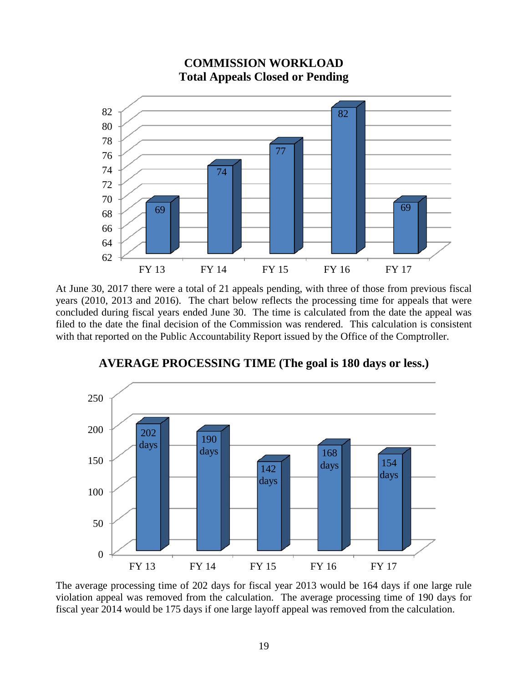

### **COMMISSION WORKLOAD Total Appeals Closed or Pending**

At June 30, 2017 there were a total of 21 appeals pending, with three of those from previous fiscal years (2010, 2013 and 2016). The chart below reflects the processing time for appeals that were concluded during fiscal years ended June 30. The time is calculated from the date the appeal was filed to the date the final decision of the Commission was rendered. This calculation is consistent with that reported on the Public Accountability Report issued by the Office of the Comptroller.



# **AVERAGE PROCESSING TIME (The goal is 180 days or less.)**

The average processing time of 202 days for fiscal year 2013 would be 164 days if one large rule violation appeal was removed from the calculation. The average processing time of 190 days for fiscal year 2014 would be 175 days if one large layoff appeal was removed from the calculation.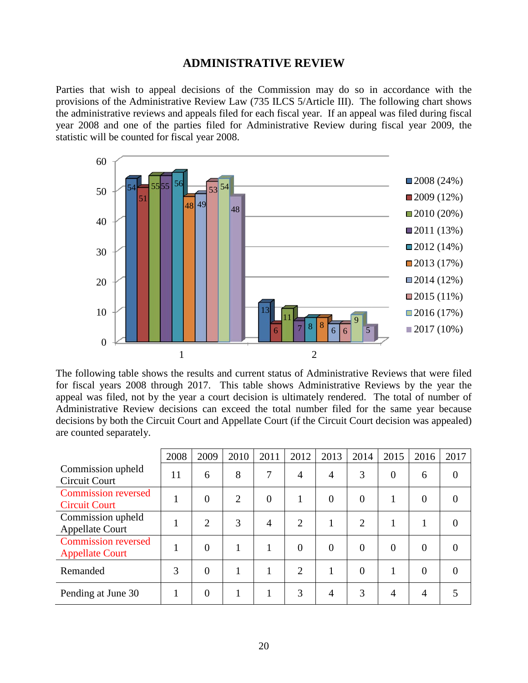#### **ADMINISTRATIVE REVIEW**

Parties that wish to appeal decisions of the Commission may do so in accordance with the provisions of the Administrative Review Law (735 ILCS 5/Article III). The following chart shows the administrative reviews and appeals filed for each fiscal year. If an appeal was filed during fiscal year 2008 and one of the parties filed for Administrative Review during fiscal year 2009, the statistic will be counted for fiscal year 2008.



The following table shows the results and current status of Administrative Reviews that were filed for fiscal years 2008 through 2017. This table shows Administrative Reviews by the year the appeal was filed, not by the year a court decision is ultimately rendered. The total of number of Administrative Review decisions can exceed the total number filed for the same year because decisions by both the Circuit Court and Appellate Court (if the Circuit Court decision was appealed) are counted separately.

|                                                      | 2008 | 2009           | 2010           | 2011           | 2012           | 2013           | 2014     | 2015           | 2016           | 2017           |
|------------------------------------------------------|------|----------------|----------------|----------------|----------------|----------------|----------|----------------|----------------|----------------|
| Commission upheld<br><b>Circuit Court</b>            | 11   | 6              | 8              | 7              | 4              | $\overline{4}$ | 3        | $\overline{0}$ | 6              | $\overline{0}$ |
| <b>Commission reversed</b><br><b>Circuit Court</b>   |      | $\theta$       | $\overline{2}$ | $\overline{0}$ |                | $\theta$       | $\theta$ |                | $\overline{0}$ | $\Omega$       |
| Commission upheld<br><b>Appellate Court</b>          |      | $\overline{2}$ | 3              | 4              | $\overline{2}$ |                | 2        | 1              |                | $\theta$       |
| <b>Commission reversed</b><br><b>Appellate Court</b> |      | $\overline{0}$ |                | $\mathbf{1}$   | $\Omega$       | $\theta$       | $\theta$ | $\theta$       | $\overline{0}$ | $\theta$       |
| Remanded                                             | 3    | $\theta$       |                |                | $\overline{2}$ |                | $\theta$ |                | $\theta$       | $\theta$       |
| Pending at June 30                                   |      | $\overline{0}$ |                |                | 3              | $\overline{4}$ | 3        | 4              | 4              |                |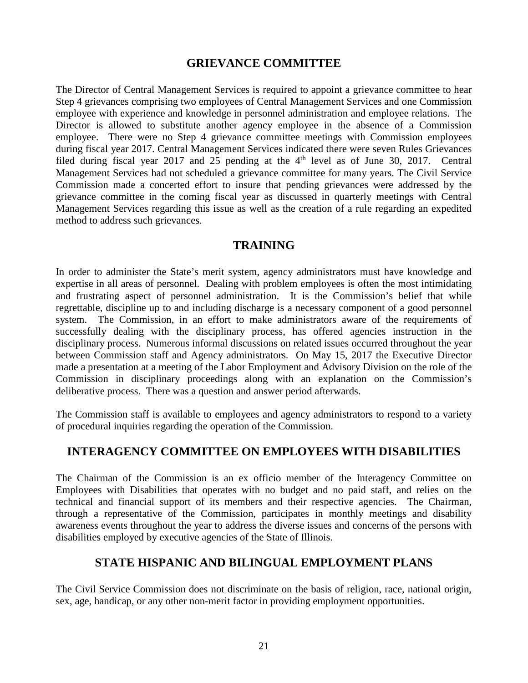### **GRIEVANCE COMMITTEE**

The Director of Central Management Services is required to appoint a grievance committee to hear Step 4 grievances comprising two employees of Central Management Services and one Commission employee with experience and knowledge in personnel administration and employee relations. The Director is allowed to substitute another agency employee in the absence of a Commission employee. There were no Step 4 grievance committee meetings with Commission employees during fiscal year 2017. Central Management Services indicated there were seven Rules Grievances filed during fiscal year 2017 and 25 pending at the  $4<sup>th</sup>$  level as of June 30, 2017. Central Management Services had not scheduled a grievance committee for many years. The Civil Service Commission made a concerted effort to insure that pending grievances were addressed by the grievance committee in the coming fiscal year as discussed in quarterly meetings with Central Management Services regarding this issue as well as the creation of a rule regarding an expedited method to address such grievances.

# **TRAINING**

In order to administer the State's merit system, agency administrators must have knowledge and expertise in all areas of personnel. Dealing with problem employees is often the most intimidating and frustrating aspect of personnel administration. It is the Commission's belief that while regrettable, discipline up to and including discharge is a necessary component of a good personnel system. The Commission, in an effort to make administrators aware of the requirements of successfully dealing with the disciplinary process, has offered agencies instruction in the disciplinary process. Numerous informal discussions on related issues occurred throughout the year between Commission staff and Agency administrators. On May 15, 2017 the Executive Director made a presentation at a meeting of the Labor Employment and Advisory Division on the role of the Commission in disciplinary proceedings along with an explanation on the Commission's deliberative process. There was a question and answer period afterwards.

The Commission staff is available to employees and agency administrators to respond to a variety of procedural inquiries regarding the operation of the Commission.

# **INTERAGENCY COMMITTEE ON EMPLOYEES WITH DISABILITIES**

The Chairman of the Commission is an ex officio member of the Interagency Committee on Employees with Disabilities that operates with no budget and no paid staff, and relies on the technical and financial support of its members and their respective agencies. The Chairman, through a representative of the Commission, participates in monthly meetings and disability awareness events throughout the year to address the diverse issues and concerns of the persons with disabilities employed by executive agencies of the State of Illinois.

# **STATE HISPANIC AND BILINGUAL EMPLOYMENT PLANS**

The Civil Service Commission does not discriminate on the basis of religion, race, national origin, sex, age, handicap, or any other non-merit factor in providing employment opportunities.